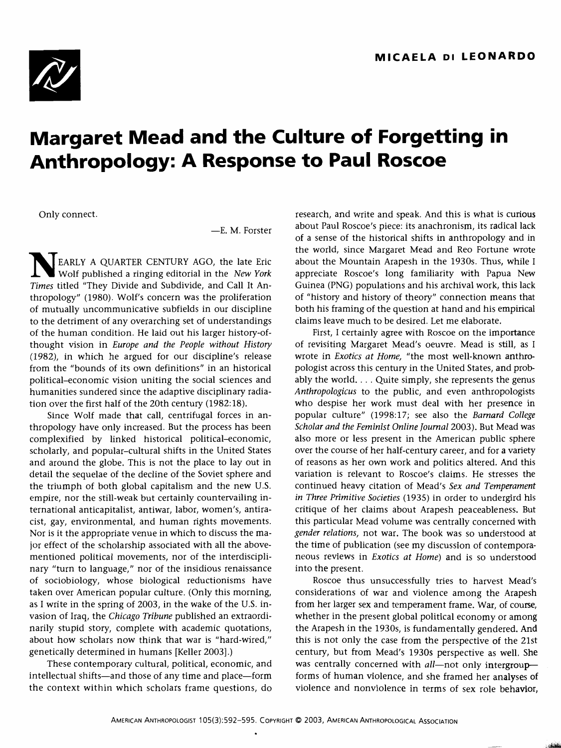

## **Margaret Mead and the Culture of Forgetting in Anthropology: A Response to Paul Roscoe**

Only connect.

—E. M. Forster

EARLY A QUARTER CENTURY AGO, the late Eric Wolf published a ringing editorial in the *New York Times* titled "They Divide and Subdivide, and Call It Anthropology" (1980). Wolf's concern was the proliferation of mutually uncommunicative subfields in our discipline to the detriment of any overarching set of understandings of the human condition. He laid out his larger history-ofthought vision in *Europe and the People without History* (1982), in which he argued for our discipline's release from the "bounds of its own definitions" in an historical political-economic vision uniting the social sciences and humanities sundered since the adaptive disciplinary radiation over the first half of the 20th century (1982:18).

Since Wolf made that call, centrifugal forces in anthropology have only increased. But the process has been complexified by linked historical political-economic, scholarly, and popular-cultural shifts in the United States and around the globe. This is not the place to lay out in detail the sequelae of the decline of the Soviet sphere and the triumph of both global capitalism and the new U.S. empire, nor the still-weak but certainly countervailing international anticapitalist, antiwar, labor, women's, antiracist, gay, environmental, and human rights movements. Nor is it the appropriate venue in which to discuss the major effect of the scholarship associated with all the abovementioned political movements, nor of the interdisciplinary "turn to language," nor of the insidious renaissance of sociobiology, whose biological reductionisms have taken over American popular culture. (Only this morning, as I write in the spring of 2003, in the wake of the U.S. invasion of Iraq, the *Chicago Tribune* published an extraordinarily stupid story, complete with academic quotations, about how scholars now think that war is "hard-wired," genetically determined in humans [Keller 2003].)

These contemporary cultural, political, economic, and intellectual shifts—and those of any time and place—form the context within which scholars frame questions, do research, and write and speak. And this is what is curious about Paul Roscoe's piece: its anachronism, its radical lack of a sense of the historical shifts in anthropology and in the world, since Margaret Mead and Reo Fortune wrote about the Mountain Arapesh in the 1930s. Thus, while I appreciate Roscoe's long familiarity with Papua New Guinea (PNG) populations and his archival work, this lack of "history and history of theory" connection means that both his framing of the question at hand and his empirical claims leave much to be desired. Let me elaborate.

First, I certainly agree with Roscoe on the importance of revisiting Margaret Mead's oeuvre. Mead is still, as I wrote in *Exotics at Home,* "the most well-known anthropologist across this century in the United States, and probably the world. . . . Quite simply, she represents the genus *Anthropologicus* to the public, and even anthropologists who despise her work must deal with her presence in popular culture" (1998:17; see also the *Barnard College Scholar and the Feminist Online Journal* 2003). But Mead was also more or less present in the American public sphere over the course of her half-century career, and for a variety of reasons as her own work and politics altered. And this variation is relevant to Roscoe's claims. He stresses the continued heavy citation of Mead's *Sex and Temperament in Three Primitive Societies* (1935) in order to undergird his critique of her claims about Arapesh peaceableness. But this particular Mead volume was centrally concerned with *gender relations,* not war. The book was so understood at the time of publication (see my discussion of contemporaneous reviews in *Exotics at Home)* and is so understood into the present.

Roscoe thus unsuccessfully tries to harvest Mead's considerations of war and violence among the Arapesh from her larger sex and temperament frame. War, of course, whether in the present global political economy or among the Arapesh in the 1930s, is fundamentally gendered. And this is not only the case from the perspective of the 21st century, but from Mead's 1930s perspective as well, She was centrally concerned with *all*—not only intergroup forms of human violence, and she framed her analyses of violence and nonviolence in terms of sex role behavior,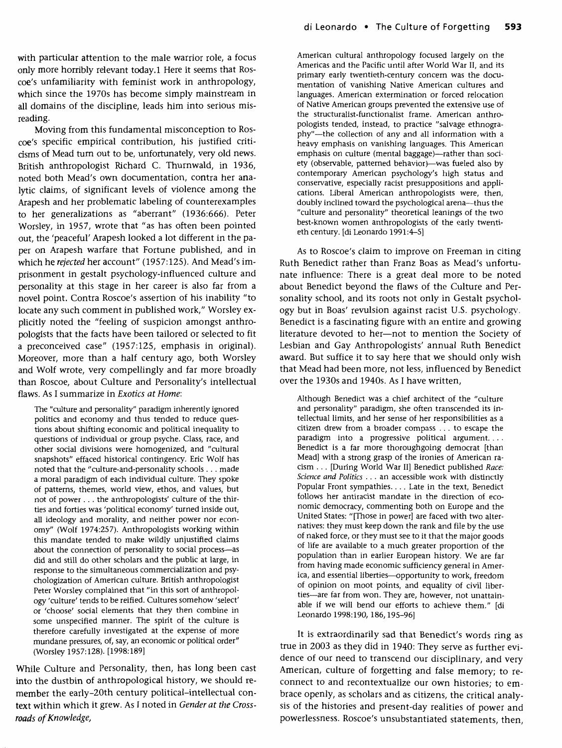Moving from this fundamental misconception to Roscoe's specific empirical contribution, his justified criticisms of Mead turn out to be, unfortunately, very old news. British anthropologist Richard C. Thurnwald, in 1936, noted both Mead's own documentation, contra her analytic claims, of significant levels of violence among the Arapesh and her problematic labeling of counterexamples to her generalizations as "aberrant" (1936:666). Peter Worsley, in 1957, wrote that "as has often been pointed out, the 'peaceful' Arapesh looked a lot different in the paper on Arapesh warfare that Fortune published, and in which he *rejected* her account" (1957:125). And Mead's imprisonment in gestalt psychology-influenced culture and personality at this stage in her career is also far from a novel point. Contra Roscoe's assertion of his inability "to locate any such comment in published work," Worsley explicitly noted the "feeling of suspicion amongst anthropologists that the facts have been tailored or selected to fit a preconceived case" (1957:125, emphasis in original). Moreover, more than a half century ago, both Worsley and Wolf wrote, very compellingly and far more broadly than Roscoe, about Culture and Personality's intellectual flaws. As I summarize in *Exotics at Home:*

The "culture and personality" paradigm inherently ignored politics and economy and thus tended to reduce questions about shifting economic and political inequality to questions of individual or group psyche. Class, race, and other social divisions were homogenized, and "cultural snapshots" effaced historical contingency. Eric Wolf has noted that the "culture-and-personality schools. . . made a moral paradigm of each individual culture. They spoke of patterns, themes, world view, ethos, and values, but not of power . . . the anthropologists' culture of the thirties and forties was 'political economy' turned inside out, all ideology and morality, and neither power nor economy" (Wolf 1974:257). Anthropologists working within this mandate tended to make wildly unjustified claims about the connection of personality to social process—as did and still do other scholars and the public at large, in response to the simultaneous commercialization and psychologization of American culture. British anthropologist Peter Worsley complained that "in this sort of anthropology 'culture' tends to be reified. Cultures somehow 'select' or 'choose' social elements that they then combine in some unspecified manner. The spirit of the culture is therefore carefully investigated at the expense of more mundane pressures, of, say, an economic or political order" (Worsley 1957:128). [1998:189]

While Culture and Personality, then, has long been cast into the dustbin of anthropological history, we should remember the early-20th century political-intellectual context within which it grew. As I noted in *Gender at the Crossroads of Knowledge,*

American cultural anthropology focused largely on the Americas and the Pacific until after World War II, and its primary early twentieth-century concern was the documentation of vanishing Native American cultures and languages. American extermination or forced relocation of Native American groups prevented the extensive use of the structuralist-functionalist frame. American anthropologists tended, instead, to practice "salvage ethnography"—the collection of any and all information with a heavy emphasis on vanishing languages. This American emphasis on culture (mental baggage)—rather than society (observable, patterned behavior)—was fueled also by contemporary American psychology's high status and conservative, especially racist presuppositions and applications. Liberal American anthropologists were, then, doubly inclined toward the psychological arena—thus the "culture and personality" theoretical leanings of the two best-known women anthropologists of the early twentieth century, [di Leonardo 1991:4-5]

As to Roscoe's claim to improve on Freeman in citing Ruth Benedict rather than Franz Boas as Mead's unfortunate influence: There is a great deal more to be noted about Benedict beyond the flaws of the Culture and Personality school, and its roots not only in Gestalt psychology but in Boas' revulsion against racist U.S. psychology. Benedict is a fascinating figure with an entire and growing literature devoted to her—not to mention the Society of Lesbian and Gay Anthropologists' annual Ruth Benedict award. But suffice it to say here that we should only wish that Mead had been more, not less, influenced by Benedict over the 1930s and 1940s. As I have written,

Although Benedict was a chief architect of the "culture and personality" paradigm, she often transcended its intellectual limits, and her sense of her responsibilities as a citizen drew from a broader compass .. . to escape the paradigm into a progressive political argument. . . . Benedict is a far more thoroughgoing democrat [than Mead] with a strong grasp of the ironies of American racism . .. [During World War II] Benedict published *Race: Science and Politics* .. . an accessible work with distinctly Popular Front sympathies.. . . Late in the text, Benedict follows her antiracist mandate in the direction of economic democracy, commenting both on Europe and the United States: "[Those in power] are faced with two alternatives: they must keep down the rank and file by the use of naked force, or they must see to it that the major goods of life are available to a much greater proportion of the population than in earlier European history. We are far from having made economic sufficiency general in America, and essential liberties—opportunity to work, freedom of opinion on moot points, and equality of civil liberties—are far from won. They are, however, not unattainable if we will bend our efforts to achieve them." [di Leonardo 1998:190, 186,195-96]

It is extraordinarily sad that Benedict's words ring as true in 2003 as they did in 1940: They serve as further evidence of our need to transcend our disciplinary, and very American, culture of forgetting and false memory; to reconnect to and recontextualize our own histories; to embrace openly, as scholars and as citizens, the critical analysis of the histories and present-day realities of power and powerlessness. Roscoe's unsubstantiated statements, then,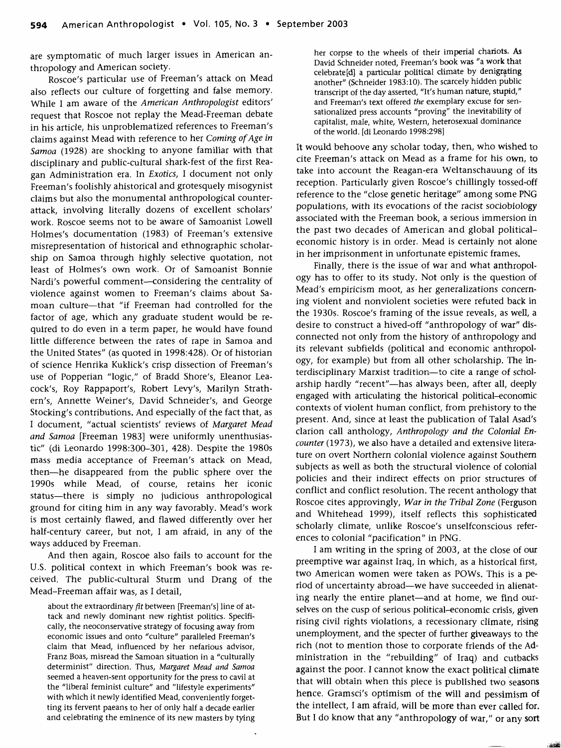are symptomatic of much larger issues in American anthropology and American society.

Roscoe's particular use of Freeman's attack on Mead also reflects our culture of forgetting and false memory. While I am aware of the *American Anthropologist* editors' request that Roscoe not replay the Mead-Freeman debate in his article, his unproblematized references to Freeman's claims against Mead with reference to her *Coming of Age in Samoa* (1928) are shocking to anyone familiar with that disciplinary and public-cultural shark-fest of the first Reagan Administration era. In *Exotics,* I document not only Freeman's foolishly ahistorical and grotesquely misogynist claims but also the monumental anthropological counterattack, involving literally dozens of excellent scholars' work. Roscoe seems not to be aware of Samoanist Lowell Holmes's documentation (1983) of Freeman's extensive misrepresentation of historical and ethnographic scholarship on Samoa through highly selective quotation, not least of Holmes's own work. Or of Samoanist Bonnie Nardi's powerful comment—considering the centrality of violence against women to Freeman's claims about Samoan culture—that "if Freeman had controlled for the factor of age, which any graduate student would be required to do even in a term paper, he would have found little difference between the rates of rape in Samoa and the United States" (as quoted in 1998:428). Or of historian of science Henrika Kuklick's crisp dissection of Freeman's use of Popperian "logic," of Bradd Shore's, Eleanor Leacock's, Roy Rappaport's, Robert Levy's, Marilyn Strathern's, Annette Weiner's, David Schneider's, and George Stocking's contributions. And especially of the fact that, as I document, "actual scientists' reviews of *Margaret Mead and Samoa* [Freeman 1983] were uniformly unenthusiastic" (di Leonardo 1998:300-301, 428). Despite the 1980s mass media acceptance of Freeman's attack on Mead, then—he disappeared from the public sphere over the 1990s while Mead, of course, retains her iconic status—there is simply no judicious anthropological ground for citing him in any way favorably. Mead's work is most certainly flawed, and flawed differently over her half-century career, but not, I am afraid, in any of the ways adduced by Freeman.

And then again, Roscoe also fails to account for the U.S. political context in which Freeman's book was received. The public-cultural Sturm und Drang of the Mead-Freeman affair was, as I detail,

about the extraordinary *fit* between [Freeman's] line of attack and newly dominant new rightist politics. Specifically, the neoconservative strategy of focusing away from economic issues and onto "culture" paralleled Freeman's claim that Mead, influenced by her nefarious advisor, Franz Boas, misread the Samoan situation in a "culturally determinist" direction. Thus, *Margaret Mead and Samoa* seemed a heaven-sent opportunity for the press to cavil at the "liberal feminist culture" and "lifestyle experiments" with which it newly identified Mead, conveniently forgetting its fervent paeans to her of only half a decade earlier and celebrating the eminence of its new masters by tying her corpse to the wheels of their imperial chariots. As David Schneider noted, Freeman's book was "a work that celebrate [d] a particular political climate by denigrating another" (Schneider 1983:10). The scarcely hidden public transcript of the day asserted, "It's human nature, stupid," and Freeman's text offered *the* exemplary excuse for sensationalized press accounts "proving" the inevitability of capitalist, male, white, Western, heterosexual dominance of the world, [di Leonardo 1998:298]

It would behoove any scholar today, then, who wished to cite Freeman's attack on Mead as a frame for his own, to take into account the Reagan-era Weltanschauung of its reception. Particularly given Roscoe's chillingly tossed-off reference to the "close genetic heritage" among some PNG populations, with its evocations of the racist sociobiology associated with the Freeman book, a serious immersion in the past two decades of American and global politicaleconomic history is in order. Mead is certainly not alone in her imprisonment in unfortunate epistemic frames.

Finally, there is the issue of war and what anthropology has to offer to its study. Not only is the question of Mead's empiricism moot, as her generalizations concerning violent and nonviolent societies were refuted back in the 1930s. Roscoe's framing of the issue reveals, as well, a desire to construct a hived-off "anthropology of war" disconnected not only from the history of anthropology and its relevant subfields (political and economic anthropology, for example) but from all other scholarship. The interdisciplinary Marxist tradition—to cite a range of scholarship hardly "recent"—has always been, after all, deeply engaged with articulating the historical political-economic contexts of violent human conflict, from prehistory to the present. And, since at least the publication of Talal Asad's clarion call anthology, *Anthropology and the Colonial Encounter* (1973), we also have a detailed and extensive literature on overt Northern colonial violence against Southern subjects as well as both the structural violence of colonial policies and their indirect effects on prior structures of conflict and conflict resolution. The recent anthology that Roscoe cites approvingly, *War in the Tribal Zone* (Ferguson and Whitehead 1999), itself reflects this sophisticated scholarly climate, unlike Roscoe's unselfconscious references to colonial "pacification" in PNG.

I am writing in the spring of 2003, at the close of our preemptive war against Iraq, in which, as a historical first, two American women were taken as POWs. This is a period of uncertainty abroad—we have succeeded in alienating nearly the entire planet—and at home, we find ourselves on the cusp of serious political-economic crisis, given rising civil rights violations, a recessionary climate, rising unemployment, and the specter of further giveaways to the rich (not to mention those to corporate friends of the Administration in the "rebuilding" of Iraq) and cutbacks against the poor. I cannot know the exact political climate that will obtain when this piece is published two seasons hence. Gramsci's optimism of the will and pessimism of the intellect, I am afraid, will be more than ever called for. But I do know that any "anthropology of war," or any sort